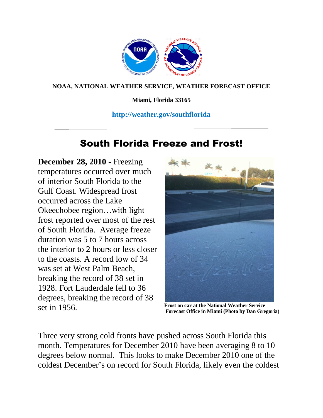

## **NOAA, NATIONAL WEATHER SERVICE, WEATHER FORECAST OFFICE**

**Miami, Florida 33165**

## **http://weather.gov/southflorida**

# South Florida Freeze and Frost!

**December 28, 2010 -** Freezing temperatures occurred over much of interior South Florida to the Gulf Coast. Widespread frost occurred across the Lake Okeechobee region…with light frost reported over most of the rest of South Florida. Average freeze duration was 5 to 7 hours across the interior to 2 hours or less closer to the coasts. A record low of 34 was set at West Palm Beach, breaking the record of 38 set in 1928. Fort Lauderdale fell to 36 degrees, breaking the record of 38 set in 1956. **Frost on car at the National Weather Service** 



**Forecast Office in Miami (Photo by Dan Gregoria)**

Three very strong cold fronts have pushed across South Florida this month. Temperatures for December 2010 have been averaging 8 to 10 degrees below normal. This looks to make December 2010 one of the coldest December's on record for South Florida, likely even the coldest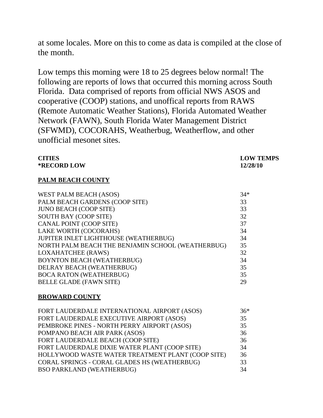at some locales. More on this to come as data is compiled at the close of the month.

Low temps this morning were 18 to 25 degrees below normal! The following are reports of lows that occurred this morning across South Florida. Data comprised of reports from official NWS ASOS and cooperative (COOP) stations, and unoffical reports from RAWS (Remote Automatic Weather Stations), Florida Automated Weather Network (FAWN), South Florida Water Management District (SFWMD), COCORAHS, Weatherbug, Weatherflow, and other unofficial mesonet sites.

| <b>CITIES</b><br><b>*RECORD LOW</b>               | <b>LOW TEMPS</b><br>12/28/10 |
|---------------------------------------------------|------------------------------|
| PALM BEACH COUNTY                                 |                              |
| WEST PALM BEACH (ASOS)                            | $34*$                        |
| PALM BEACH GARDENS (COOP SITE)                    | 33                           |
| <b>JUNO BEACH (COOP SITE)</b>                     | 33                           |
| <b>SOUTH BAY (COOP SITE)</b>                      | 32                           |
| CANAL POINT (COOP SITE)                           | 37                           |
| LAKE WORTH (COCORAHS)                             | 34                           |
| JUPITER INLET LIGHTHOUSE (WEATHERBUG)             | 34                           |
| NORTH PALM BEACH THE BENJAMIN SCHOOL (WEATHERBUG) | 35                           |
| <b>LOXAHATCHEE (RAWS)</b>                         | 32                           |
| <b>BOYNTON BEACH (WEATHERBUG)</b>                 | 34                           |
| DELRAY BEACH (WEATHERBUG)                         | 35                           |
| <b>BOCA RATON (WEATHERBUG)</b>                    | 35                           |
| <b>BELLE GLADE (FAWN SITE)</b>                    | 29                           |

#### **BROWARD COUNTY**

| FORT LAUDERDALE INTERNATIONAL AIRPORT (ASOS)      | $36*$ |
|---------------------------------------------------|-------|
| FORT LAUDERDALE EXECUTIVE AIRPORT (ASOS)          | 35    |
| PEMBROKE PINES - NORTH PERRY AIRPORT (ASOS)       | 35    |
| POMPANO BEACH AIR PARK (ASOS)                     | 36    |
| FORT LAUDERDALE BEACH (COOP SITE)                 | 36    |
| FORT LAUDERDALE DIXIE WATER PLANT (COOP SITE)     | 34    |
| HOLLYWOOD WASTE WATER TREATMENT PLANT (COOP SITE) | 36    |
| CORAL SPRINGS - CORAL GLADES HS (WEATHERBUG)      | 33    |
| <b>BSO PARKLAND (WEATHERBUG)</b>                  | 34    |